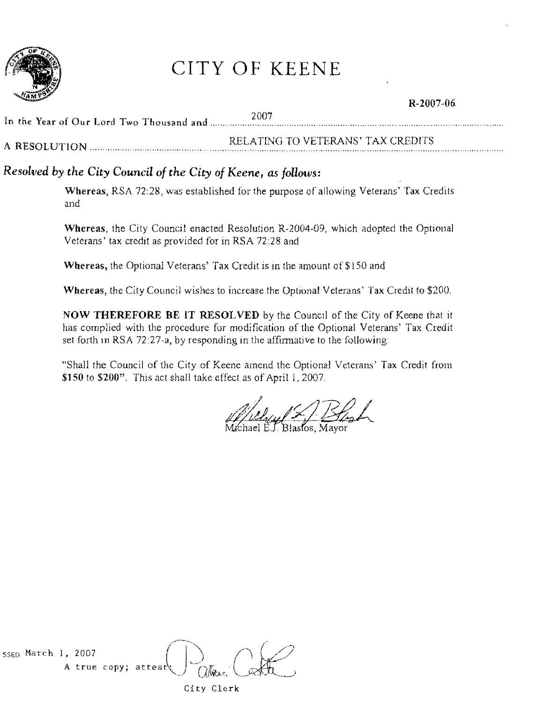

## CITY OF KEENE

### R-2007-06 In the Year of Our Lord Two Thousand and .... " ......... ?007 A RESOLUTION."...... ........ ". RELATING TO VETERANS' TAX CREDITS

### *Resolved by the City Council of the City of Keene, as follows:*

Wbereas, RSA 72:28, was established for the purpose of allowing Veterans' Tax Credits and

Wbereas, the City Council enacted Resolution R-2004-09, which adopted the Optional Veterans' tax credit as provided for in RSA 72:28 and

Whereas, the Optional Veterans' Tax Credit is in the amount of \$150 and

Wbereas, the City Council wishes to increase the Optional Veterans' Tax Credit to \$200.

NOW THEREFORE BE IT RESOLVED by the Council of the City of Keene that it has complied with the procedure for modification of the Optional Veterans' Tax Credit set forth in RSA 72:27-a, by responding in the affirmative to the following:

"Shall the Council of the City of Keene amend the Optional Veterans' Tax Credit from \$150 to \$200". This act shall take effect as of April 1,2007.

 $i$ chael E.J. Blastos. Mayor

SSED March 1, 2007 A true copy; attest  $\sum_{m}$  ( $\frac{1}{n}$ 

City Clerk